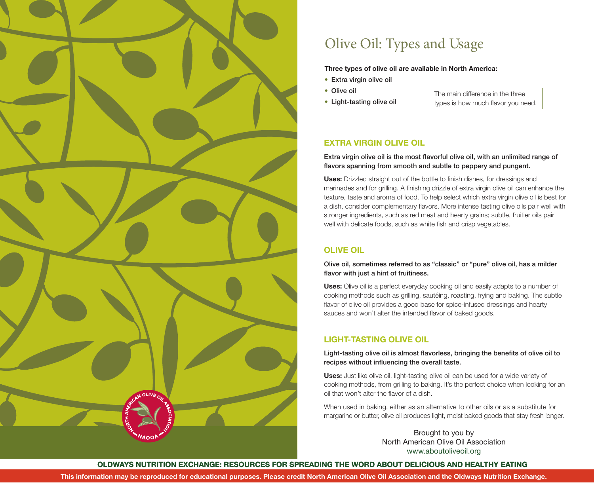

# Olive Oil: Types and Usage

#### **Three types of olive oil are available in North America:**

- Extra virgin olive oil
- Olive oil
- Light-tasting olive oil

The main difference in the three types is how much flavor you need.

### **EXTRA VIRGIN OLIVE OIL**

### Extra virgin olive oil is the most flavorful olive oil, with an unlimited range of flavors spanning from smooth and subtle to peppery and pungent.

**Uses:** Drizzled straight out of the bottle to finish dishes, for dressings and marinades and for grilling. A finishing drizzle of extra virgin olive oil can enhance the texture, taste and aroma of food. To help select which extra virgin olive oil is best for a dish, consider complementary flavors. More intense tasting olive oils pair well with stronger ingredients, such as red meat and hearty grains; subtle, fruitier oils pair well with delicate foods, such as white fish and crisp vegetables.

### **OLIVE OIL**

Olive oil, sometimes referred to as "classic" or "pure" olive oil, has a milder flavor with just a hint of fruitiness.

**Uses:** Olive oil is a perfect everyday cooking oil and easily adapts to a number of cooking methods such as grilling, sautéing, roasting, frying and baking. The subtle flavor of olive oil provides a good base for spice-infused dressings and hearty sauces and won't alter the intended flavor of baked goods.

### **LIGHT-TASTING OLIVE OIL**

### Light-tasting olive oil is almost flavorless, bringing the benefits of olive oil to recipes without influencing the overall taste.

**Uses:** Just like olive oil, light-tasting olive oil can be used for a wide variety of cooking methods, from grilling to baking. It's the perfect choice when looking for an oil that won't alter the flavor of a dish.

When used in baking, either as an alternative to other oils or as a substitute for margarine or butter, olive oil produces light, moist baked goods that stay fresh longer.

> Brought to you by North American Olive Oil Association www.aboutoliveoil.org

**OLDWAYS NUTRITION EXCHANGE: RESOURCES FOR SPREADING THE WORD ABOUT DELICIOUS AND HEALTHY EATING**

**This information may be reproduced for educational purposes. Please credit North American Olive Oil Association and the Oldways Nutrition Exchange.**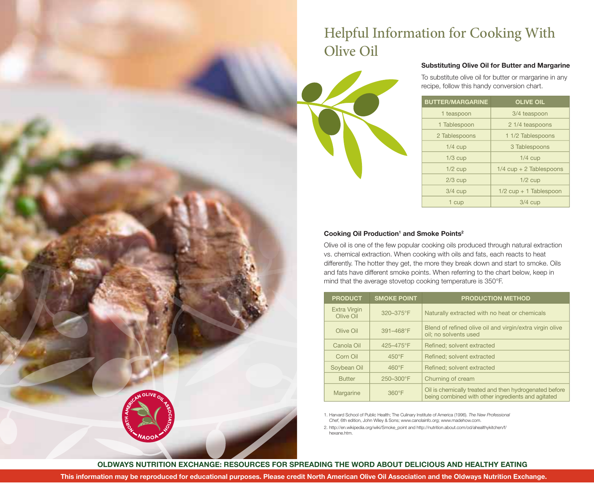# Helpful Information for Cooking With Olive Oil



### **Substituting Olive Oil for Butter and Margarine**

To substitute olive oil for butter or margarine in any recipe, follow this handy conversion chart.

| <b>BUTTER/MARGARINE</b> | <b>OLIVE OIL</b>          |
|-------------------------|---------------------------|
| 1 teaspoon              | 3/4 teaspoon              |
| 1 Tablespoon            | 2 1/4 teaspoons           |
| 2 Tablespoons           | 1 1/2 Tablespoons         |
| $1/4$ cup               | 3 Tablespoons             |
| $1/3$ cup               | $1/4$ cup                 |
| $1/2$ cup               | $1/4$ cup + 2 Tablespoons |
| $2/3$ cup               | $1/2$ cup                 |
| $3/4$ cup               | $1/2$ cup + 1 Tablespoon  |
| 1 cup                   | $3/4$ cup                 |

#### **Cooking Oil Production1 and Smoke Points2**

Olive oil is one of the few popular cooking oils produced through natural extraction vs. chemical extraction. When cooking with oils and fats, each reacts to heat differently. The hotter they get, the more they break down and start to smoke. Oils and fats have different smoke points. When referring to the chart below, keep in mind that the average stovetop cooking temperature is 350°F.

| <b>PRODUCT</b>                   | <b>SMOKE POINT</b> | <b>PRODUCTION METHOD</b>                                                                                     |
|----------------------------------|--------------------|--------------------------------------------------------------------------------------------------------------|
| <b>Extra Virgin</b><br>Olive Oil | 320-375°F          | Naturally extracted with no heat or chemicals                                                                |
| Olive Oil                        | 391-468°F          | Blend of refined olive oil and virgin/extra virgin olive<br>oil: no solvents used                            |
| Canola Oil                       | 425-475°F          | Refined; solvent extracted                                                                                   |
| Corn Oil                         | $450^{\circ}F$     | Refined: solvent extracted                                                                                   |
| Soybean Oil                      | $460^{\circ}$ F    | Refined; solvent extracted                                                                                   |
| <b>Butter</b>                    | $250 - 300$ °F     | Churning of cream                                                                                            |
| Margarine                        | $360^\circ F$      | Oil is chemically treated and then hydrogenated before<br>being combined with other ingredients and agitated |

1. Harvard School of Public Health; The Culinary Institute of America (1996). *The New Professional Chef*, 6th edition, John Wiley & Sons; www.canolainfo.org; www.madehow.com.

2. http://en.wikipedia.org/wiki/Smoke\_point and http://nutrition.about.com/od/ahealthykitchen/f/ hexane.htm.

**OLDWAYS NUTRITION EXCHANGE: RESOURCES FOR SPREADING THE WORD ABOUT DELICIOUS AND HEALTHY EATING**

**This information may be reproduced for educational purposes. Please credit North American Olive Oil Association and the Oldways Nutrition Exchange.**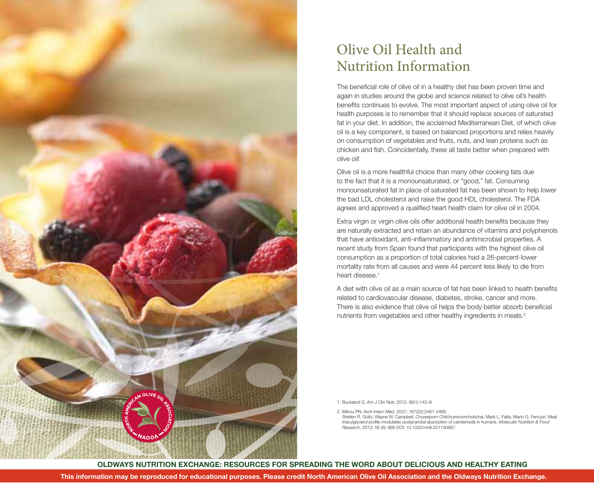

## Olive Oil Health and Nutrition Information

The beneficial role of olive oil in a healthy diet has been proven time and again in studies around the globe and science related to olive oil's health benefits continues to evolve. The most important aspect of using olive oil for health purposes is to remember that it should replace sources of saturated fat in your diet. In addition, the acclaimed Mediterranean Diet, of which olive oil is a key component, is based on balanced proportions and relies heavily on consumption of vegetables and fruits, nuts, and lean proteins such as chicken and fish. Coincidentally, these all taste better when prepared with olive oil!

Olive oil is a more healthful choice than many other cooking fats due to the fact that it is a monounsaturated, or "good," fat. Consuming monounsaturated fat in place of saturated fat has been shown to help lower the bad LDL cholesterol and raise the good HDL cholesterol. The FDA agrees and approved a qualified heart health claim for olive oil in 2004.

Extra virgin or virgin olive oils offer additional health benefits because they are naturally extracted and retain an abundance of vitamins and polyphenols that have antioxidant, anti-inflammatory and antimicrobial properties. A recent study from Spain found that participants with the highest olive oil consumption as a proportion of total calories had a 26-percent-lower mortality rate from all causes and were 44 percent less likely to die from heart disease.<sup>1</sup>

A diet with olive oil as a main source of fat has been linked to health benefits related to cardiovascular disease, diabetes, stroke, cancer and more. There is also evidence that olive oil helps the body better absorb beneficial nutrients from vegetables and other healthy ingredients in meals.<sup>2</sup>

1. Buckland G. Am J Clin Nutr, 2012. 96(1):142–9.

2. Mitrou PN. Arch Intern Med. 2007: 167(22):2461-2468.

Shellen R. Goltz, Wayne W. Campbell, Chureeporn Chitchumroonchokchai, Mark L. Failla, Mario G. Ferruzzi. Meal triacylglycerol profile modulates postprandial absorption of carotenoids in humans. *Molecular Nutrition & Food Research*, 2012; 56 (6): 866 DOI: 10.1002/mnfr.201100687.

**OLDWAYS NUTRITION EXCHANGE: RESOURCES FOR SPREADING THE WORD ABOUT DELICIOUS AND HEALTHY EATING**

**This information may be reproduced for educational purposes. Please credit North American Olive Oil Association and the Oldways Nutrition Exchange.**